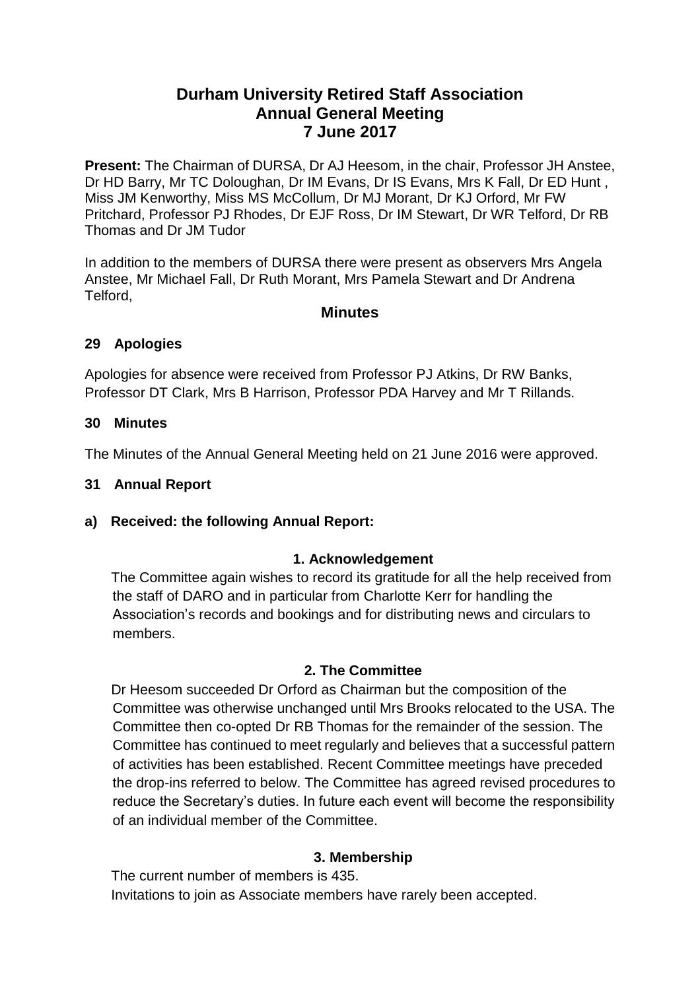# **Durham University Retired Staff Association Annual General Meeting 7 June 2017**

**Present:** The Chairman of DURSA, Dr AJ Heesom, in the chair, Professor JH Anstee, Dr HD Barry, Mr TC Doloughan, Dr IM Evans, Dr IS Evans, Mrs K Fall, Dr ED Hunt , Miss JM Kenworthy, Miss MS McCollum, Dr MJ Morant, Dr KJ Orford, Mr FW Pritchard, Professor PJ Rhodes, Dr EJF Ross, Dr IM Stewart, Dr WR Telford, Dr RB Thomas and Dr JM Tudor

In addition to the members of DURSA there were present as observers Mrs Angela Anstee, Mr Michael Fall, Dr Ruth Morant, Mrs Pamela Stewart and Dr Andrena Telford,

#### **Minutes**

#### **29 Apologies**

Apologies for absence were received from Professor PJ Atkins, Dr RW Banks, Professor DT Clark, Mrs B Harrison, Professor PDA Harvey and Mr T Rillands.

#### **30 Minutes**

The Minutes of the Annual General Meeting held on 21 June 2016 were approved.

#### **31 Annual Report**

**a) Received: the following Annual Report:**

### **1. Acknowledgement**

The Committee again wishes to record its gratitude for all the help received from the staff of DARO and in particular from Charlotte Kerr for handling the Association's records and bookings and for distributing news and circulars to members.

### **2. The Committee**

Dr Heesom succeeded Dr Orford as Chairman but the composition of the Committee was otherwise unchanged until Mrs Brooks relocated to the USA. The Committee then co-opted Dr RB Thomas for the remainder of the session. The Committee has continued to meet regularly and believes that a successful pattern of activities has been established. Recent Committee meetings have preceded the drop-ins referred to below. The Committee has agreed revised procedures to reduce the Secretary's duties. In future each event will become the responsibility of an individual member of the Committee.

### **3. Membership**

The current number of members is 435. Invitations to join as Associate members have rarely been accepted.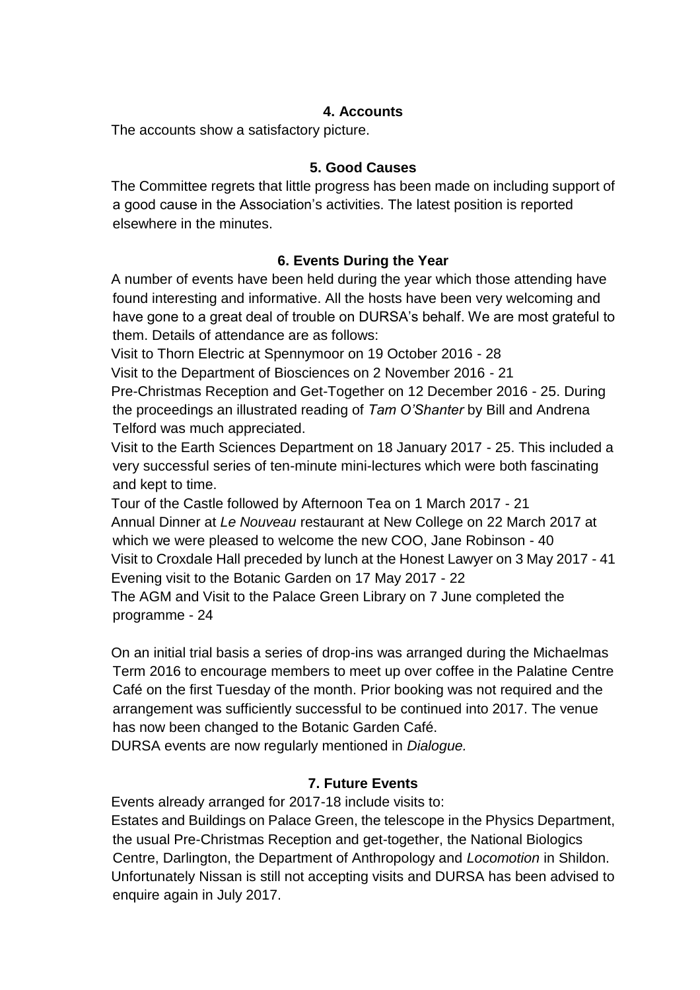### **4. Accounts**

The accounts show a satisfactory picture.

#### **5. Good Causes**

The Committee regrets that little progress has been made on including support of a good cause in the Association's activities. The latest position is reported elsewhere in the minutes.

### **6. Events During the Year**

A number of events have been held during the year which those attending have found interesting and informative. All the hosts have been very welcoming and have gone to a great deal of trouble on DURSA's behalf. We are most grateful to them. Details of attendance are as follows:

Visit to Thorn Electric at Spennymoor on 19 October 2016 - 28

Visit to the Department of Biosciences on 2 November 2016 - 21

Pre-Christmas Reception and Get-Together on 12 December 2016 - 25. During the proceedings an illustrated reading of *Tam O'Shanter* by Bill and Andrena Telford was much appreciated.

Visit to the Earth Sciences Department on 18 January 2017 - 25. This included a very successful series of ten-minute mini-lectures which were both fascinating and kept to time.

Tour of the Castle followed by Afternoon Tea on 1 March 2017 - 21 Annual Dinner at *Le Nouveau* restaurant at New College on 22 March 2017 at which we were pleased to welcome the new COO, Jane Robinson - 40 Visit to Croxdale Hall preceded by lunch at the Honest Lawyer on 3 May 2017 - 41 Evening visit to the Botanic Garden on 17 May 2017 - 22

The AGM and Visit to the Palace Green Library on 7 June completed the programme - 24

On an initial trial basis a series of drop-ins was arranged during the Michaelmas Term 2016 to encourage members to meet up over coffee in the Palatine Centre Café on the first Tuesday of the month. Prior booking was not required and the arrangement was sufficiently successful to be continued into 2017. The venue has now been changed to the Botanic Garden Café.

DURSA events are now regularly mentioned in *Dialogue.*

### **7. Future Events**

Events already arranged for 2017-18 include visits to:

Estates and Buildings on Palace Green, the telescope in the Physics Department, the usual Pre-Christmas Reception and get-together, the National Biologics Centre, Darlington, the Department of Anthropology and *Locomotion* in Shildon. Unfortunately Nissan is still not accepting visits and DURSA has been advised to enquire again in July 2017.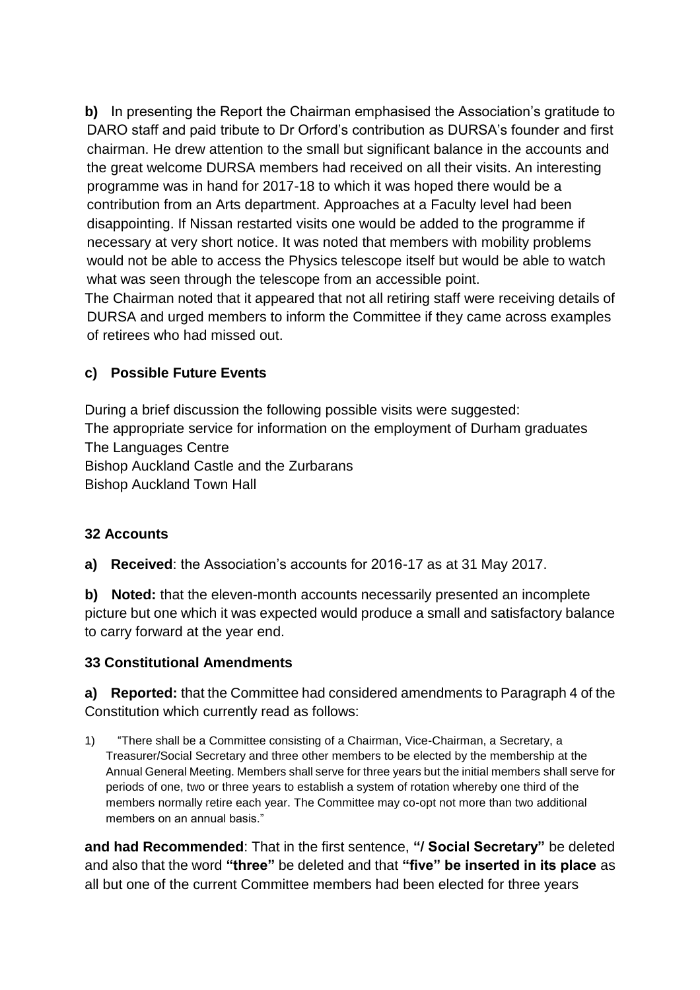**b)** In presenting the Report the Chairman emphasised the Association's gratitude to DARO staff and paid tribute to Dr Orford's contribution as DURSA's founder and first chairman. He drew attention to the small but significant balance in the accounts and the great welcome DURSA members had received on all their visits. An interesting programme was in hand for 2017-18 to which it was hoped there would be a contribution from an Arts department. Approaches at a Faculty level had been disappointing. If Nissan restarted visits one would be added to the programme if necessary at very short notice. It was noted that members with mobility problems would not be able to access the Physics telescope itself but would be able to watch what was seen through the telescope from an accessible point.

The Chairman noted that it appeared that not all retiring staff were receiving details of DURSA and urged members to inform the Committee if they came across examples of retirees who had missed out.

# **c) Possible Future Events**

During a brief discussion the following possible visits were suggested: The appropriate service for information on the employment of Durham graduates The Languages Centre Bishop Auckland Castle and the Zurbarans Bishop Auckland Town Hall

# **32 Accounts**

**a) Received**: the Association's accounts for 2016-17 as at 31 May 2017.

**b) Noted:** that the eleven-month accounts necessarily presented an incomplete picture but one which it was expected would produce a small and satisfactory balance to carry forward at the year end.

# **33 Constitutional Amendments**

**a) Reported:** that the Committee had considered amendments to Paragraph 4 of the Constitution which currently read as follows:

1) "There shall be a Committee consisting of a Chairman, Vice-Chairman, a Secretary, a Treasurer/Social Secretary and three other members to be elected by the membership at the Annual General Meeting. Members shall serve for three years but the initial members shall serve for periods of one, two or three years to establish a system of rotation whereby one third of the members normally retire each year. The Committee may co-opt not more than two additional members on an annual basis."

**and had Recommended**: That in the first sentence, **"/ Social Secretary"** be deleted and also that the word **"three"** be deleted and that **"five" be inserted in its place** as all but one of the current Committee members had been elected for three years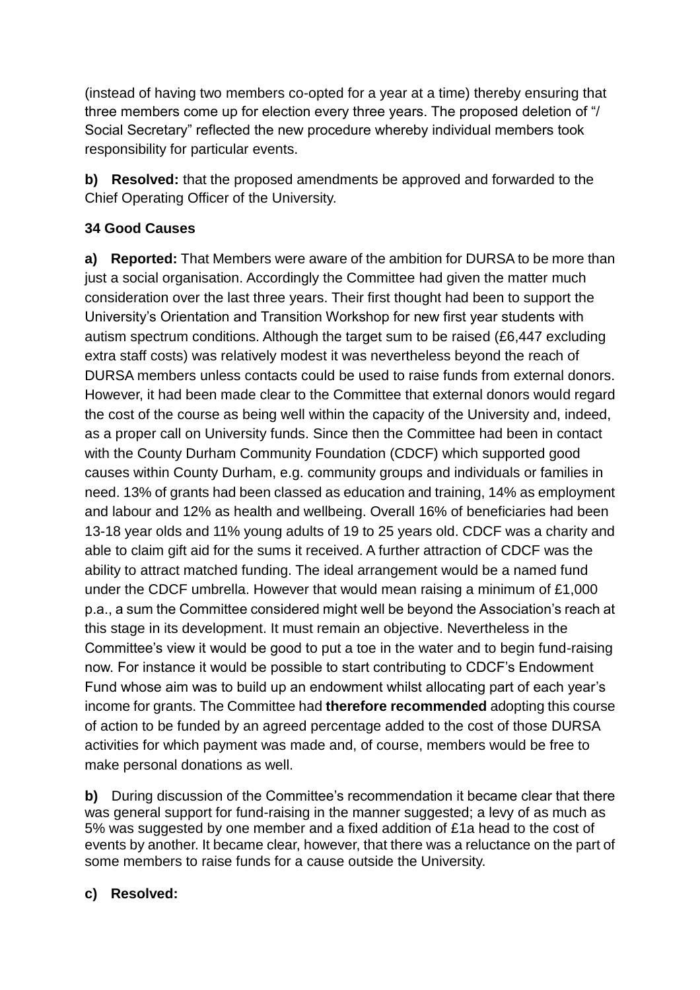(instead of having two members co-opted for a year at a time) thereby ensuring that three members come up for election every three years. The proposed deletion of "/ Social Secretary" reflected the new procedure whereby individual members took responsibility for particular events.

**b) Resolved:** that the proposed amendments be approved and forwarded to the Chief Operating Officer of the University.

# **34 Good Causes**

**a) Reported:** That Members were aware of the ambition for DURSA to be more than just a social organisation. Accordingly the Committee had given the matter much consideration over the last three years. Their first thought had been to support the University's Orientation and Transition Workshop for new first year students with autism spectrum conditions. Although the target sum to be raised (£6,447 excluding extra staff costs) was relatively modest it was nevertheless beyond the reach of DURSA members unless contacts could be used to raise funds from external donors. However, it had been made clear to the Committee that external donors would regard the cost of the course as being well within the capacity of the University and, indeed, as a proper call on University funds. Since then the Committee had been in contact with the County Durham Community Foundation (CDCF) which supported good causes within County Durham, e.g. community groups and individuals or families in need. 13% of grants had been classed as education and training, 14% as employment and labour and 12% as health and wellbeing. Overall 16% of beneficiaries had been 13-18 year olds and 11% young adults of 19 to 25 years old. CDCF was a charity and able to claim gift aid for the sums it received. A further attraction of CDCF was the ability to attract matched funding. The ideal arrangement would be a named fund under the CDCF umbrella. However that would mean raising a minimum of £1,000 p.a., a sum the Committee considered might well be beyond the Association's reach at this stage in its development. It must remain an objective. Nevertheless in the Committee's view it would be good to put a toe in the water and to begin fund-raising now. For instance it would be possible to start contributing to CDCF's Endowment Fund whose aim was to build up an endowment whilst allocating part of each year's income for grants. The Committee had **therefore recommended** adopting this course of action to be funded by an agreed percentage added to the cost of those DURSA activities for which payment was made and, of course, members would be free to make personal donations as well.

**b)** During discussion of the Committee's recommendation it became clear that there was general support for fund-raising in the manner suggested; a levy of as much as 5% was suggested by one member and a fixed addition of £1a head to the cost of events by another. It became clear, however, that there was a reluctance on the part of some members to raise funds for a cause outside the University.

# **c) Resolved:**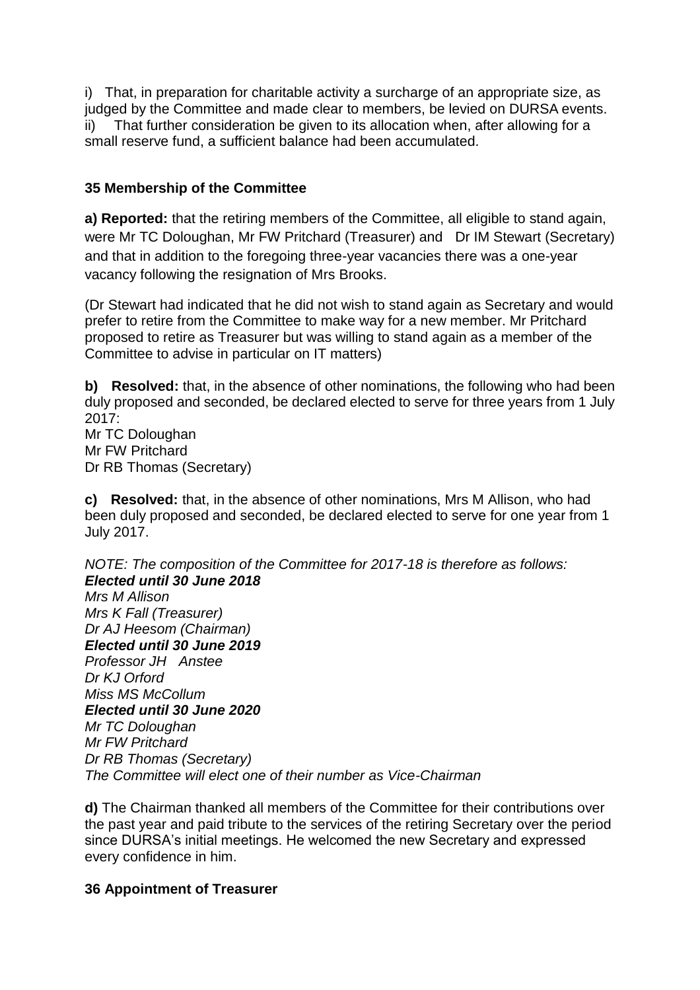i) That, in preparation for charitable activity a surcharge of an appropriate size, as judged by the Committee and made clear to members, be levied on DURSA events. ii) That further consideration be given to its allocation when, after allowing for a small reserve fund, a sufficient balance had been accumulated.

### **35 Membership of the Committee**

**a) Reported:** that the retiring members of the Committee, all eligible to stand again, were Mr TC Doloughan, Mr FW Pritchard (Treasurer) and Dr IM Stewart (Secretary) and that in addition to the foregoing three-year vacancies there was a one-year vacancy following the resignation of Mrs Brooks.

(Dr Stewart had indicated that he did not wish to stand again as Secretary and would prefer to retire from the Committee to make way for a new member. Mr Pritchard proposed to retire as Treasurer but was willing to stand again as a member of the Committee to advise in particular on IT matters)

**b) Resolved:** that, in the absence of other nominations, the following who had been duly proposed and seconded, be declared elected to serve for three years from 1 July 2017: Mr TC Doloughan

Mr FW Pritchard Dr RB Thomas (Secretary)

**c) Resolved:** that, in the absence of other nominations, Mrs M Allison, who had been duly proposed and seconded, be declared elected to serve for one year from 1 July 2017.

*NOTE: The composition of the Committee for 2017-18 is therefore as follows: Elected until 30 June 2018*

*Mrs M Allison Mrs K Fall (Treasurer) Dr AJ Heesom (Chairman) Elected until 30 June 2019 Professor JH Anstee Dr KJ Orford Miss MS McCollum Elected until 30 June 2020 Mr TC Doloughan Mr FW Pritchard Dr RB Thomas (Secretary) The Committee will elect one of their number as Vice-Chairman*

**d)** The Chairman thanked all members of the Committee for their contributions over the past year and paid tribute to the services of the retiring Secretary over the period since DURSA's initial meetings. He welcomed the new Secretary and expressed every confidence in him.

#### **36 Appointment of Treasurer**